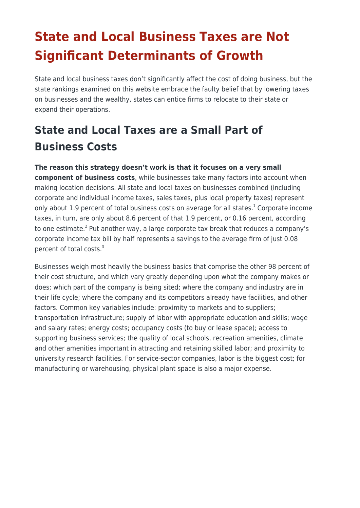# **State and Local Business Taxes are Not Significant Determinants of Growth**

State and local business taxes don't significantly affect the cost of doing business, but the state rankings examined on this website embrace the faulty belief that by lowering taxes on businesses and the wealthy, states can entice firms to relocate to their state or expand their operations.

## **State and Local Taxes are a Small Part of Business Costs**

#### **The reason this strategy doesn't work is that it focuses on a very small**

**component of business costs**, while businesses take many factors into account when making location decisions. All state and local taxes on businesses combined (including corporate and individual income taxes, sales taxes, plus local property taxes) represent only about 1.9 percent of total business costs on average for all states.<sup>1</sup> Corporate income taxes, in turn, are only about 8.6 percent of that 1.9 percent, or 0.16 percent, according to one estimate.<sup>2</sup> Put another way, a large corporate tax break that reduces a company's corporate income tax bill by half represents a savings to the average firm of just 0.08 percent of total costs.<sup>3</sup>

Businesses weigh most heavily the business basics that comprise the other 98 percent of their cost structure, and which vary greatly depending upon what the company makes or does; which part of the company is being sited; where the company and industry are in their life cycle; where the company and its competitors already have facilities, and other factors. Common key variables include: proximity to markets and to suppliers; transportation infrastructure; supply of labor with appropriate education and skills; wage and salary rates; energy costs; occupancy costs (to buy or lease space); access to supporting business services; the quality of local schools, recreation amenities, climate and other amenities important in attracting and retaining skilled labor; and proximity to university research facilities. For service-sector companies, labor is the biggest cost; for manufacturing or warehousing, physical plant space is also a major expense.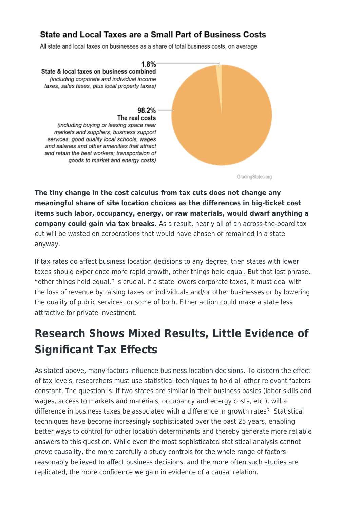#### State and Local Taxes are a Small Part of Business Costs

All state and local taxes on businesses as a share of total business costs, on average



GradingStates.org

**The tiny change in the cost calculus from tax cuts does not change any meaningful share of site location choices as the differences in big-ticket cost items such labor, occupancy, energy, or raw materials, would dwarf anything a company could gain via tax breaks.** As a result, nearly all of an across-the-board tax cut will be wasted on corporations that would have chosen or remained in a state anyway.

If tax rates do affect business location decisions to any degree, then states with lower taxes should experience more rapid growth, other things held equal. But that last phrase, "other things held equal," is crucial. If a state lowers corporate taxes, it must deal with the loss of revenue by raising taxes on individuals and/or other businesses or by lowering the quality of public services, or some of both. Either action could make a state less attractive for private investment.

## **Research Shows Mixed Results, Little Evidence of Significant Tax Effects**

As stated above, many factors influence business location decisions. To discern the effect of tax levels, researchers must use statistical techniques to hold all other relevant factors constant. The question is: if two states are similar in their business basics (labor skills and wages, access to markets and materials, occupancy and energy costs, etc.), will a difference in business taxes be associated with a difference in growth rates? Statistical techniques have become increasingly sophisticated over the past 25 years, enabling better ways to control for other location determinants and thereby generate more reliable answers to this question. While even the most sophisticated statistical analysis cannot prove causality, the more carefully a study controls for the whole range of factors reasonably believed to affect business decisions, and the more often such studies are replicated, the more confidence we gain in evidence of a causal relation.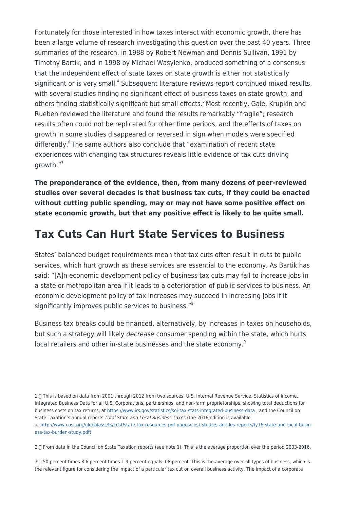Fortunately for those interested in how taxes interact with economic growth, there has been a large volume of research investigating this question over the past 40 years. Three summaries of the research, in 1988 by Robert Newman and Dennis Sullivan, 1991 by Timothy Bartik, and in 1998 by Michael Wasylenko, produced something of a consensus that the independent effect of state taxes on state growth is either not statistically significant or is very small.<sup>4</sup> Subsequent literature reviews report continued mixed results, with several studies finding no significant effect of business taxes on state growth, and others finding statistically significant but small effects.<sup>5</sup> Most recently, Gale, Krupkin and Rueben reviewed the literature and found the results remarkably "fragile"; research results often could not be replicated for other time periods, and the effects of taxes on growth in some studies disappeared or reversed in sign when models were specified differently.<sup>6</sup>The same authors also conclude that "examination of recent state experiences with changing tax structures reveals little evidence of tax cuts driving growth."<sup>7</sup>

**The preponderance of the evidence, then, from many dozens of peer-reviewed studies over several decades is that business tax cuts, if they could be enacted without cutting public spending, may or may not have some positive effect on state economic growth, but that any positive effect is likely to be quite small.**

### **Tax Cuts Can Hurt State Services to Business**

States' balanced budget requirements mean that tax cuts often result in cuts to public services, which hurt growth as these services are essential to the economy. As Bartik has said: "[A]n economic development policy of business tax cuts may fail to increase jobs in a state or metropolitan area if it leads to a deterioration of public services to business. An economic development policy of tax increases may succeed in increasing jobs if it significantly improves public services to business."<sup>8</sup>

Business tax breaks could be financed, alternatively, by increases in taxes on households, but such a strategy will likely decrease consumer spending within the state, which hurts local retailers and other in-state businesses and the state economy.<sup>9</sup>

1. This is based on data from 2001 through 2012 from two sources: U.S. Internal Revenue Service, Statistics of Income, Integrated Business Data for all U.S. Corporations, partnerships, and non-farm proprietorships, showing total deductions for business costs on tax returns, at<https://www.irs.gov/statistics/soi-tax-stats-integrated-business-data>; and the Council on State Taxation's annual reports Total State and Local Business Taxes (the 2016 edition is available at [http://www.cost.org/globalassets/cost/state-tax-resources-pdf-pages/cost-studies-articles-reports/fy16-state-and-local-busin](http://www.cost.org/globalassets/cost/state-tax-resources-pdf-pages/cost-studies-articles-reports/fy16-state-and-local-business-tax-burden-study.pdf) [ess-tax-burden-study.pdf\)](http://www.cost.org/globalassets/cost/state-tax-resources-pdf-pages/cost-studies-articles-reports/fy16-state-and-local-business-tax-burden-study.pdf)

2. From data in the Council on State Taxation reports (see note 1). This is the average proportion over the period 2003-2016.

3.- 50 percent times 8.6 percent times 1.9 percent equals .08 percent. This is the average over all types of business, which is the relevant figure for considering the impact of a particular tax cut on overall business activity. The impact of a corporate